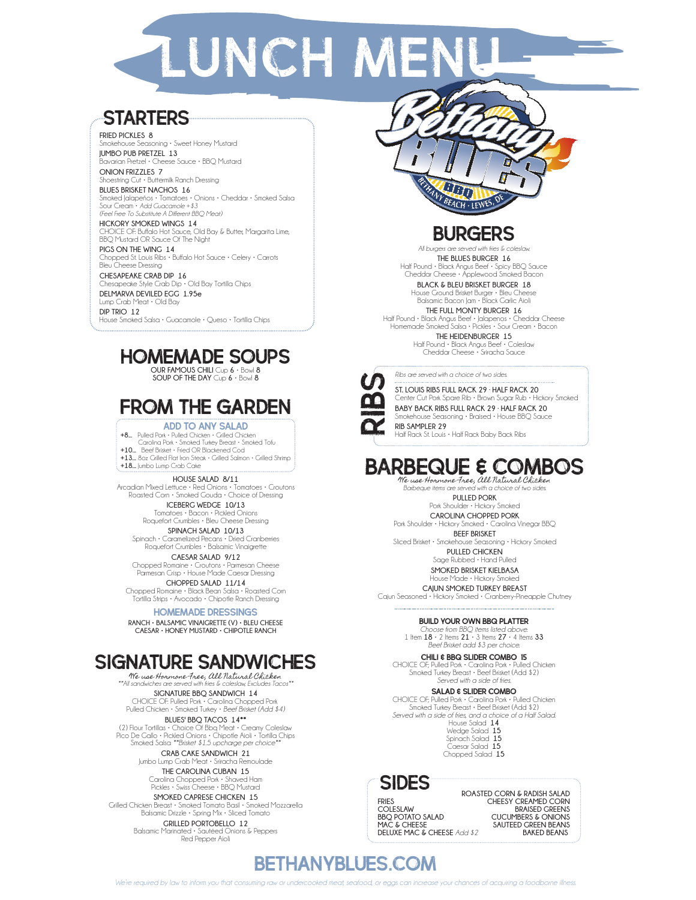# **ZLUNCH MEN**

### **STARTERS**

**FRIED PICKLES 8** Smokehouse Seasoning • Sweet Honey Mustard

**JUMBO PUB PRETZEL 13** Bavarian Pretzel • Cheese Sauce • BBQ Mustard **ONION FRIZZLES 7**

Shoestring Cut • Buttermilk Ranch Dressing **BLUES BRISKET NACHOS 16**

Smoked Jalapeños • Tomatoes • Onions • Cheddar • Smoked Salsa Sour Cream • *Add Guacamole +\$3 (Feel Free To Substitute A Different BBQ Meat)*

**HICKORY SMOKED WINGS 14** CHOICE OF: Buffalo Hot Sauce, Old Bay & Butter, Margarita Lime, BBQ Mustard OR Sauce Of The Night **PIGS ON THE WING 14**

Chopped St. Louis Ribs • Buffalo Hot Sauce • Celery • Carrots Bleu Cheese Dressing

**CHESAPEAKE CRAB DIP 16** Chesapeake Style Crab Dip • Old Bay Tortilla Chips **DELMARVA DEVILED EGG 1.95e**

Lump Crab Meat • Old Bay **DIP TRIO 12** House Smoked Salsa • Guacamole • Queso • Tortilla Chips

### Homemade soups

**OUR FAMOUS CHILI** Cup **6** • Bowl **8 SOUP OF THE DAY** Cup **6** • Bowl **8**

# from the garden

**ADD TO ANY SALAD**<br>**+8...** Pulled Pork • Pulled Chicken • Grilled Chicken Carolina Pork • Smoked Turkey Breast • Smoked Tofu **+10...** Beef Brisket • Fried OR Blackened Cod **+13...** 8oz Grilled Flat Iron Steak • Grilled Salmon • Grilled Shrimp **+18...** Jumbo Lump Crab Cake

**HOUSE SALAD 8/11** Arcadian Mixed Lettuce • Red Onions • Tomatoes • Croutons Roasted Corn • Smoked Gouda • Choice of Dressing **ICEBERG WEDGE 10/13**

Tomatoes • Bacon • Pickled Onions Roquefort Crumbles • Bleu Cheese Dressing **SPINACH SALAD 10/13**

Spinach • Caramelized Pecans • Dried Cranberries Roquefort Crumbles • Balsamic Vinaigrette

**CAESAR SALAD 9/12** Chopped Romaine • Croutons • Parmesan Cheese Parmesan Crisp • House Made Caesar Dressing

**CHOPPED SALAD 11/14** Chopped Romaine • Black Bean Salsa • Roasted Corn Tortilla Strips • Avocado • Chipotle Ranch Dressing

HOMEMADE DRESSINGS

**RANCH • BALSAMIC VINAIGRETTE (V) • BLEU CHEESE CAESAR • HONEY MUSTARD • CHIPOTLE RANCH**

### SIGNATURE SANDWICHES

We use Hormone Free, All Natural Chicken *\*\*All sandwiches are served with fries & coleslaw, Excludes Tacos\*\**

**SIGNATURE BBQ SANDWICH 14** CHOICE OF: Pulled Pork • Carolina Chopped Pork Pulled Chicken • Smoked Turkey • *Beef Brisket (Add \$4)*

**BLUES' BBQ TACOS 14\*\*** (2) Flour Tortillas • Choice Of Bbq Meat • Creamy Coleslaw Pico De Gallo • Pickled Onions • Chipotle Aioli • Tortilla Chips Smoked Salsa *\*\*Brisket \$1.5 upcharge per choice\*\**

> **CRAB CAKE SANDWICH 21** Jumbo Lump Crab Meat • Sriracha Remoulade

**THE CAROLINA CUBAN 15** Carolina Chopped Pork • Shaved Ham Pickles • Swiss Cheese • BBQ Mustard

**SMOKED CAPRESE CHICKEN 15** Grilled Chicken Breast • Smoked Tomato Basil • Smoked Mozzarella Balsamic Drizzle • Spring Mix • Sliced Tomato

**GRILLED PORTOBELLO 12** Balsamic Marinated • Sautéed Onions & Peppers Red Pepper Aioli



## **BURGERS**

*All burgers are served with fries & coleslaw.* **THE BLUES BURGER 16** Half Pound • Black Angus Beef • Spicy BBQ Sauce Cheddar Cheese • Applewood Smoked Bacon

**BLACK & BLEU BRISKET BURGER 18** House Ground Brisket Burger • Bleu Cheese Balsamic Bacon Jam • Black Garlic Aioli

**THE FULL MONTY BURGER 16**

Half Pound • Black Angus Beef • Jalapenos • Cheddar Cheese Homemade Smoked Salsa • Pickles • Sour Cream • Bacon **THE HEIDENBURGER 15**

Half Pound • Black Angus Beef • Coleslaw Cheddar Cheese • Sriracha Sauce

*Ribs are served with a choice of two sides.*

**ST. LOUIS RIBS FULL RACK 29 · HALF RACK 20** Center Cut Pork Spare Rib • Brown Sugar Rub • Hickory Smoked **BABY BACK RIBS FULL RACK 29 · HALF RACK 20** Smokehouse Seasoning • Braised • House BBQ Sauce **RIB SAMPLER 29** EVERT Site of Bristonery Smoked • Cajun Seasoned • Hickory Smoked • Genter Cut Pork Space Rib • Brown Sugar Rib • Brown Sugar Rib • Brown Sugar Rib • Brown Sugar Rib • Brown Sugar Rib • Brown Sugar Rib • Rock Rib Smokehous

Half Rack St. Louis • Half Rack Baby Back Ribs

# BARBEQUE & COMBOS

We use Hormone Free, All Natural Chicken *Barbeque items are served with a choice of two sides.* **PULLED PORK**

Pork Shoulder • Hickory Smoked **CAROLINA CHOPPED PORK**

Pork Shoulder • Hickory Smoked • Carolina Vinegar BBQ **BEEF BRISKET**

Sliced Brisket • Smokehouse Seasoning • Hickory Smoked **PULLED CHICKEN**

Sage Rubbed • Hand Pulled **SMOKED BRISKET KIELBASA**

House Made • Hickory Smoked

**CAJUN SMOKED TURKEY BREAST**<br>Cajun Seasoned • Hickory Smoked • Cranberry-Pineapple Chutney

#### build Your Own BBQ Platter

*Choose from BBQ items listed above.* 1 Item **18** • 2 Items **21** • 3 Items **27** • 4 Items **33** *Beef Brisket add \$3 per choice.*

chili & bbq slider combo 15 CHOICE OF; Pulled Pork • Carolina Pork • Pulled Chicken

Smoked Turkey Breast • Beef Brisket (Add \$2) *Served with a side of fries.*

#### SALAD & SLIDER COMBO

CHOICE OF; Pulled Pork • Carolina Pork • Pulled Chicken Smoked Turkey Breast • Beef Brisket (Add \$2) *Served with a side of fries, and a choice of a Half Salad.* House Salad **14** Wedge Salad **15**

Spinach Salad **15** Caesar Salad **15** Chopped Salad **15**

### SIDES

**FRIES COLESLAW BBQ POTATO SALAD MAC & CHEESE DELUXE MAC & CHEESE** *Add \$2*

**ROASTED CORN & RADISH SALAD CHEESY CREAMED CORN BRAISED GREENS CUCUMBERS & ONIONS SAUTEED GREEN BEANS BAKED BEANS** 

### bethanyblues.com

*We're required by law to inform you that consuming raw or undercooked meat, seafood, or eggs can increase your chances of acquiring a foodborne illness.*